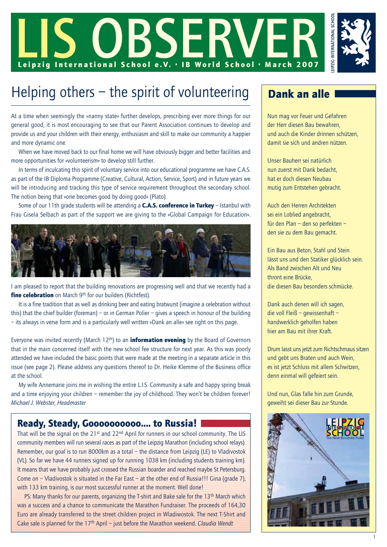

# Helping others – the spirit of volunteering  $\Box$  Dank an alle

At a time when seemingly the »nanny state« further develops, prescribing ever more things for our general good, it is most encouraging to see that our Parent Association continues to develop and provide us and your children with their energy, enthusiasm and skill to make our community a happier and more dynamic one.

When we have moved back to our final home we will have obviously bigger and better facilities and more opportunities for »volunteerism« to develop still further.

In terms of inculcating this spirit of voluntary service into our educational programme we have C.A.S. as part of the IB Diploma Programme (Creative, Cultural, Action, Service, Sport) and in future years we will be introducing and tracking this type of service requirement throughout the secondary school. The notion being that »one becomes good by doing good« (Plato).

Some of our 11th grade students will be attending a **C.A.S. conference in Turkey** – Istanbul with Frau Gisela Selbach as part of the support we are giving to the »Global Campaign for Education«.



I am pleased to report that the building renovations are progressing well and that we recently had a fine celebration on March 9th for our builders (Richtfest).

It is a fine tradition that as well as drinking beer and eating bratwurst (imagine a celebration without this) that the chief builder (foreman) – or in German Polier – gives a speech in honour of the building – its always in verse form and is a particularly well written »Dank an alle« see right on this page.

Everyone was invited recently (March  $12<sup>th</sup>$ ) to an **information evening** by the Board of Governors that in the main concerned itself with the new school fee structure for next year. As this was poorly attended we have included the basic points that were made at the meeting in a separate article in this issue (see page 2). Please address any questions thereof to Dr. Heike Klemme of the Business office at the school.

My wife Annemarie joins me in wishing the entire L.I.S. Community a safe and happy spring break and a time enjoying your children – remember the joy of childhood. They won't be children forever! *Michael J. Webster, Headmaster*

### Ready, Steady, Goooooooooo…. to Russia!

That will be the signal on the 21<sup>st</sup> and 22<sup>nd</sup> April for runners in our school community. The LIS community members will run several races as part of the Leipzig Marathon (including school relays). Remember, our goal is to run 8000km as a total – the distance from Leipzig (LE) to Vladivostok (VL). So far we have 44 runners signed up for running 1038 km (including students training km). It means that we have probably just crossed the Russian boarder and reached maybe St Petersburg. Come on – Vladivostok is situated in the Far East – at the other end of Russia!!! Gina (grade 7), with 133 km training, is our most successful runner at the moment. Well done!

PS: Many thanks for our parents, organizing the T-shirt and Bake sale for the 13<sup>th</sup> March which was a success and a chance to communicate the Marathon Fundraiser. The proceeds of 164,30 Euro are already transferred to the street children project in Wladiwostok. The next T-Shirt and Cake sale is planned for the 17th April – just before the Marathon weekend. *Claudia Wendt*

Nun mag vor Feuer und Gefahren der Herr diesen Bau bewahren, und auch die Kinder drinnen schützen, damit sie sich und andren nützen.

Unser Bauherr sei natürlich nun zuerst mit Dank bedacht, hat er doch diesen Neubau mutig zum Entstehen gebracht.

Auch den Herren Architekten sei ein Loblied angebracht, für den Plan – den so perfekten – den sie zu dem Bau gemacht.

Ein Bau aus Beton, Stahl und Stein lässt uns und den Statiker glücklich sein. Als Band zwischen Alt und Neu thront eine Brücke, die diesen Bau besonders schmücke.

Dank auch denen will ich sagen, die voll Fleiß – gewissenhaft – handwerklich geholfen haben hier am Bau mit ihrer Kraft.

Drum lasst uns jetzt zum Richtschmaus sitzen und gebt uns Braten und auch Wein, es ist jetzt Schluss mit allem Schwitzen, denn einmal will gefeiert sein.

Und nun, Glas falle hin zum Grunde, geweiht sei dieser Bau zur Stunde.

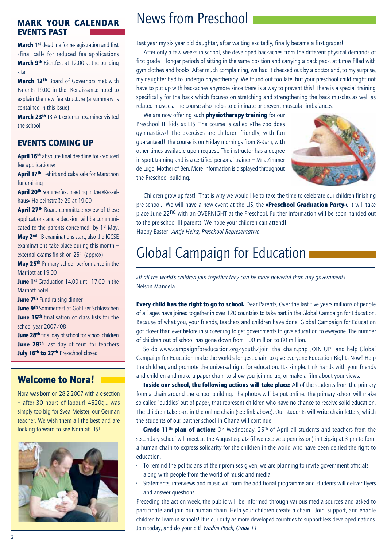### MARK YOUR CALENDAR EVENTS PAST

March 1<sup>st</sup> deadline for re-reqistration and first »final call« for reduced fee applications March 9<sup>th</sup> Richtfest at 12.00 at the building site

March 12<sup>th</sup> Board of Governors met with Parents 19.00 in the Renaissance hotel to explain the new fee structure (a summary is contained in this issue)

March 23th IB Art external examiner visited the school

### EVENTS COMING UP

April 16<sup>th</sup> absolute final deadline for »reduced fee applications«

April 17<sup>th</sup> T-shirt and cake sale for Marathon fundraising

April 20<sup>th</sup> Sommerfest meeting in the »Kesselhaus« Holbeinstraße 29 at 19.00

April 27<sup>th</sup> Board committee review of these applications and a decision will be communicated to the parents concerned by 1<sup>st</sup> May. May 2<sup>nd</sup> IB examinations start; also the IGCSE

examinations take place during this month – external exams finish on 25th (approx)

May 25<sup>th</sup> Primary school performance in the Marriott at 19.00

June 1<sup>st</sup> Graduation 14.00 until 17.00 in the Marriott hotel

June 7<sup>th</sup> Fund raising dinner

June 9th Sommerfest at Gohliser Schlösschen June 15th finalisation of class lists for the school year 2007/08

June 28<sup>th</sup> final day of school for school children June 29<sup>th</sup> last day of term for teachers July 16<sup>th</sup> to 27<sup>th</sup> Pre-school closed

# Welcome to Nora!

Nora was born on 28.2.2007 with a c-section – after 30 hours of labour! 4520g... was simply too big for Svea Meister, our German teacher. We wish them all the best and are looking forward to see Nora at LIS!



# News from Preschool

Last year my six year old daughter, after waiting excitedly, finally became a first grader!

After only a few weeks in school, she developed backaches from the different physical demands of first grade – longer periods of sitting in the same position and carrying a back pack, at times filled with gym clothes and books. After much complaining, we had it checked out by a doctor and, to my surprise, my daughter had to undergo physiotherapy. We found out too late, but your preschool child might not have to put up with backaches anymore since there is a way to prevent this! There is a special training specifically for the back which focuses on stretching and strengthening the back muscles as well as related muscles. The course also helps to eliminate or prevent muscular imbalances.

We are now offering such **physiotherapy training** for our Preschool III kids at LIS. The course is called »The zoo does gymnastics«! The exercises are children friendly, with fun guaranteed! The course is on Friday mornings from 8-9am, with other times available upon request. The instructor has a degree in sport training and is a certified personal trainer – Mrs. Zimmer de Lugo, Mother of Ben. More information is displayed throughout the Preschool building.



Children grow up fast! That is why we would like to take the time to celebrate our children finishing pre-school. We will have a new event at the LIS, the »Preschool Graduation Party«. It will take place June 22<sup>nd</sup> with an OVERNIGHT at the Preschool. Further information will be soon handed out to the pre-school III parents. We hope your children can attend! Happy Easter! *Antje Heinz, Preschool Representative*

# Global Campaign for Education

*»If all the world's children join together they can be more powerful than any government«* Nelson Mandela

**Every child has the right to go to school.** Dear Parents, Over the last five years millions of people of all ages have joined together in over 120 countries to take part in the Global Campaign for Education. Because of what you, your friends, teachers and children have done, Global Campaign for Education got closer than ever before in succeeding to get governments to give education to everyone. The number of children out of school has gone down from 100 million to 80 million.

So do www.campaignforeducation.org/youth/join\_the\_chain.php JOIN UP! and help Global Campaign for Education make the world's longest chain to give everyone Education Rights Now! Help the children, and promote the universal right for education. It's simple. Link hands with your friends and children and make a paper chain to show you joining up, or make a film about your views.

Inside our school, the following actions will take place: All of the students from the primary form a chain around the school building. The photos will be put online. The primary school will make so-called 'buddies' out of paper, that represent children who have no chance to receive solid education. The children take part in the online chain (see link above). Our students will write chain letters, which the students of our partner school in Ghana will continue.

Grade 11<sup>th</sup> plan of action: On Wednesday, 25<sup>th</sup> of April all students and teachers from the secondary school will meet at the Augustusplatz (if we receive a permission) in Leipzig at 3 pm to form a human chain to express solidarity for the children in the world who have been denied the right to education.

- To remind the politicians of their promises given, we are planning to invite government officials, along with people from the world of music and media.
- Statements, interviews and music will form the additional programme and students will deliver flyers and answer questions.

Preceding the action week, the public will be informed through various media sources and asked to participate and join our human chain. Help your children create a chain. Join, support, and enable children to learn in schools! It is our duty as more developed countries to support less developed nations. Join today, and do your bit! *Wadim Ptach, Grade 11*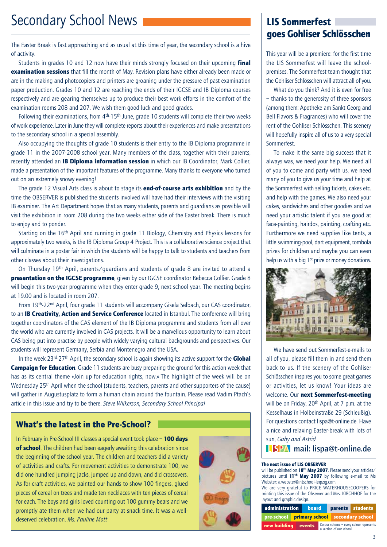# Secondary School News

The Easter Break is fast approaching and as usual at this time of year, the secondary school is a hive of activity.

Students in grades 10 and 12 now have their minds strongly focused on their upcoming **final examination sessions** that fill the month of May. Revision plans have either already been made or are in the making and photocopiers and printers are groaning under the pressure of past examination paper production. Grades 10 and 12 are reaching the ends of their IGCSE and IB Diploma courses respectively and are gearing themselves up to produce their best work efforts in the comfort of the examination rooms 208 and 207. We wish them good luck and good grades.

Following their examinations, from  $4<sup>th</sup>$ -15<sup>th</sup> June, grade 10 students will complete their two weeks of work experience. Later in June they will complete reports about their experiences and make presentations to the secondary school in a special assembly.

Also occupying the thoughts of grade 10 students is their entry to the IB Diploma programme in grade 11 in the 2007-2008 school year. Many members of the class, together with their parents, recently attended an **IB Diploma information session** in which our IB Coordinator, Mark Collier, made a presentation of the important features of the programme. Many thanks to everyone who turned out on an extremely snowy evening!

The grade 12 Visual Arts class is about to stage its **end-of-course arts exhibition** and by the time the OBSERVER is published the students involved will have had their interviews with the visiting IB examiner. The Art Department hopes that as many students, parents and guardians as possible will visit the exhibition in room 208 during the two weeks either side of the Easter break. There is much to enjoy and to ponder.

Starting on the 16th April and running in grade 11 Biology, Chemistry and Physics lessons for approximately two weeks, is the IB Diploma Group 4 Project. This is a collaborative science project that will culminate in a poster fair in which the students will be happy to talk to students and teachers from other classes about their investigations.

On Thursday 19th April, parents/guardians and students of grade 8 are invited to attend a presentation on the IGCSE programme, given by our IGCSE coordinator Rebecca Collier. Grade 8 will begin this two-year programme when they enter grade 9, next school year. The meeting begins at 19.00 and is located in room 207.

From 19th-22nd April, four grade 11 students will accompany Gisela Selbach, our CAS coordinator, to an IB Creativity, Action and Service Conference located in Istanbul. The conference will bring together coordinators of the CAS element of the IB Diploma programme and students from all over the world who are currently involved in CAS projects. It will be a marvellous opportunity to learn about CAS being put into practise by people with widely varying cultural backgrounds and perspectives. Our students will represent Germany, Serbia and Montenegro and the USA.

In the week 23<sup>rd</sup>-27<sup>th</sup> April, the secondary school is again showing its active support for the **Global Campaign for Education.** Grade 11 students are busy preparing the ground for this action week that has as its central theme »Join up for education rights, now.« The highlight of the week will be on Wednesday 25<sup>th</sup> April when the school (students, teachers, parents and other supporters of the cause) will gather in Augustusplatz to form a human chain around the fountain. Please read Vadim Ptach's article in this issue and try to be there. *Steve Wilkerson, Secondary School Principal*

### What's the latest in the Pre-School?

In February in Pre-School III classes a special event took place  $-100$  days of school. The children had been eagerly awaiting this celebration since the beginning of the school year. The children and teachers did a variety of activities and crafts. For movement activities to demonstrate 100, we did one hundred jumping jacks, jumped up and down, and did crossovers. As for craft activities, we painted our hands to show 100 fingers, glued pieces of cereal on trees and made ten necklaces with ten pieces of cereal for each. The boys and girls loved counting out 100 gummy bears and we promptly ate them when we had our party at snack time. It was a welldeserved celebration. *Ms. Pauline Mott*



# LIS Sommerfest goes Gohliser Schlösschen

This year will be a premiere: for the first time the LIS Sommerfest will leave the schoolpremises. The Sommerfest-team thought that the Gohliser Schlösschen will attract all of you.

What do you think? And it is even for free – thanks to the generosity of three sponsors (among them: Apotheke am Sankt Georg and Bell Flavors & Fragrances) who will cover the rent of the Gohliser Schlösschen. This scenery will hopefully inspire all of us to a very special Sommerfest.

To make it the same big success that it always was, we need your help. We need all of you to come and party with us, we need many of you to give us your time and help at the Sommerfest with selling tickets, cakes etc. and help with the games. We also need your cakes, sandwiches and other goodies and we need your artistic talent if you are good at face-painting, hairdos, painting, crafting etc. Furthermore we need supplies like tents, a little swimming-pool, dart equipment, tombola prizes for children and maybe you can even help us with a big  $1<sup>st</sup>$  prize or money donations.



We have send out Sommerfest-e-mails to all of you, please fill them in and send them back to us. If the scenery of the Gohliser Schlösschen inspires you to some great games or activities, let us know! Your ideas are welcome. Our next Sommerfest-meeting will be on Friday, 20<sup>th</sup> April, at 7 p.m. at the Kesselhaus in Holbeinstraße 29 (Schleußig). For questions contact lispa@t-online.de. Have a nice and relaxing Easter-break with lots of sun, *Gaby and Astrid*

### **LISPA** mail: lispa@t-online.de

#### The next issue of LIS OBSERVER

will be published on  $18^{th}$  May 2007. Please send your articles/ pictures until  $11^{th}$  May 2007 by following e-mail to Ms Webster: a.webster@intschool-leipzig.com.

We are very grateful to PRICE WATERHOUSECOOPERS for printing this issue of the Observer and Mrs. KIRCHHOF for the layout and graphic design.

| administration board |  |  |                                                                     |  |                                            | parents students |  |
|----------------------|--|--|---------------------------------------------------------------------|--|--------------------------------------------|------------------|--|
|                      |  |  |                                                                     |  | pre-school primary school secondary school |                  |  |
| new building events  |  |  | Colour scheme - every colour represents<br>a section of our school. |  |                                            |                  |  |